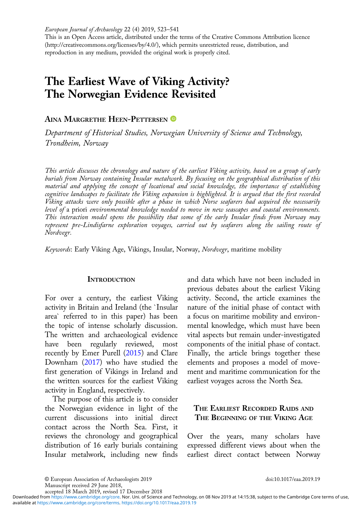European Journal of Archaeology 22 (4) 2019, 523–541

This is an Open Access article, distributed under the terms of the Creative Commons Attribution licence (http://creativecommons.org/licenses/by/4.0/), which permits unrestricted reuse, distribution, and reproduction in any medium, provided the original work is properly cited.

# The Earliest Wave of Viking Activity? The Norwegian Evidence Revisited

AINA MARGRETHE HEEN-PETTERSEN <sup>®</sup>

Department of Historical Studies, Norwegian University of Science and Technology, Trondheim, Norway

This article discusses the chronology and nature of the earliest Viking activity, based on a group of early burials from Norway containing Insular metalwork. By focusing on the geographical distribution of this material and applying the concept of locational and social knowledge, the importance of establishing cognitive landscapes to facilitate the Viking expansion is highlighted. It is argued that the first recorded Viking attacks were only possible after a phase in which Norse seafarers had acquired the necessarily level of a priori environmental knowledge needed to move in new seascapes and coastal environments. This interaction model opens the possibility that some of the early Insular finds from Norway may represent pre-Lindisfarne exploration voyages, carried out by seafarers along the sailing route of Nordvegr.

Keywords: Early Viking Age, Vikings, Insular, Norway, Nordvegr, maritime mobility

## **INTRODUCTION**

For over a century, the earliest Viking activity in Britain and Ireland (the `Insular area` referred to in this paper) has been the topic of intense scholarly discussion. The written and archaeological evidence have been regularly reviewed, most recently by Emer Purell ([2015\)](#page-16-0) and Clare Downham ([2017\)](#page-15-0) who have studied the first generation of Vikings in Ireland and the written sources for the earliest Viking activity in England, respectively.

The purpose of this article is to consider the Norwegian evidence in light of the current discussions into initial direct contact across the North Sea. First, it reviews the chronology and geographical distribution of 16 early burials containing Insular metalwork, including new finds

and data which have not been included in previous debates about the earliest Viking activity. Second, the article examines the nature of the initial phase of contact with a focus on maritime mobility and environmental knowledge, which must have been vital aspects but remain under-investigated components of the initial phase of contact. Finally, the article brings together these elements and proposes a model of movement and maritime communication for the earliest voyages across the North Sea.

# THE EARLIEST RECORDED RAIDS AND THE BEGINNING OF THE VIKING AGE

Over the years, many scholars have expressed different views about when the earliest direct contact between Norway

accepted 18 March 2019, revised 17 December 2018

available at <https://www.cambridge.org/core/terms>.<https://doi.org/10.1017/eaa.2019.19> Downloaded from [https://www.cambridge.org/core.](https://www.cambridge.org/core) Nor. Uni. of Science and Technology, on 08 Nov 2019 at 14:15:38, subject to the Cambridge Core terms of use,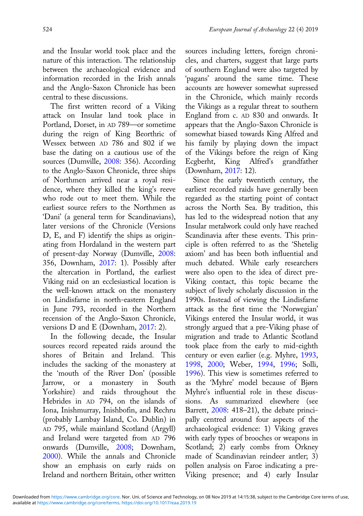and the Insular world took place and the nature of this interaction. The relationship between the archaeological evidence and information recorded in the Irish annals and the Anglo-Saxon Chronicle has been central to these discussions.

The first written record of a Viking attack on Insular land took place in Portland, Dorset, in AD 789—or sometime during the reign of King Beorthric of Wessex between AD 786 and 802 if we base the dating on a cautious use of the sources (Dumville, [2008](#page-15-0): 356). According to the Anglo-Saxon Chronicle, three ships of Northmen arrived near a royal residence, where they killed the king's reeve who rode out to meet them. While the earliest source refers to the Northmen as 'Dani' (a general term for Scandinavians), later versions of the Chronicle (Versions D, E, and F) identify the ships as originating from Hordaland in the western part of present-day Norway (Dumville, [2008](#page-15-0): 356, Downham, [2017:](#page-15-0) 1). Possibly after the altercation in Portland, the earliest Viking raid on an ecclesiastical location is the well-known attack on the monastery on Lindisfarne in north-eastern England in June 793, recorded in the Northern recension of the Anglo-Saxon Chronicle, versions D and E (Downham, [2017:](#page-15-0) 2).

In the following decade, the Insular sources record repeated raids around the shores of Britain and Ireland. This includes the sacking of the monastery at the 'mouth of the River Don' (possible Jarrow, or a monastery in South Yorkshire) and raids throughout the Hebrides in AD 794, on the islands of Iona, Inishmurray, Inishbofin, and Rechru (probably Lambay Island, Co. Dublin) in AD 795, while mainland Scotland (Argyll) and Ireland were targeted from AD 796 onwards (Dumville, [2008;](#page-15-0) Downham, [2000](#page-15-0)). While the annals and Chronicle show an emphasis on early raids on Ireland and northern Britain, other written

sources including letters, foreign chronicles, and charters, suggest that large parts of southern England were also targeted by 'pagans' around the same time. These accounts are however somewhat supressed in the Chronicle, which mainly records the Vikings as a regular threat to southern England from c. AD 830 and onwards. It appears that the Anglo-Saxon Chronicle is somewhat biased towards King Alfred and his family by playing down the impact of the Vikings before the reign of King Ecgberht, King Alfred's grandfather (Downham, [2017](#page-15-0): 12).

Since the early twentieth century, the earliest recorded raids have generally been regarded as the starting point of contact across the North Sea. By tradition, this has led to the widespread notion that any Insular metalwork could only have reached Scandinavia after these events. This principle is often referred to as the 'Shetelig axiom' and has been both influential and much debated. While early researchers were also open to the idea of direct pre-Viking contact, this topic became the subject of lively scholarly discussion in the 1990s. Instead of viewing the Lindisfarne attack as the first time the 'Norwegian' Vikings entered the Insular world, it was strongly argued that a pre-Viking phase of migration and trade to Atlantic Scotland took place from the early to mid-eighth century or even earlier (e.g. Myhre, [1993,](#page-16-0) [1998,](#page-16-0) [2000](#page-16-0); Weber, [1994](#page-17-0), [1996](#page-17-0); Solli, [1996\)](#page-17-0). This view is sometimes referred to as the 'Myhre' model because of Bjørn Myhre's influential role in these discussions. As summarized elsewhere (see Barrett, [2008](#page-15-0): 418–21), the debate principally centred around four aspects of the archaeological evidence: 1) Viking graves with early types of brooches or weapons in Scotland; 2) early combs from Orkney made of Scandinavian reindeer antler; 3) pollen analysis on Faroe indicating a pre-Viking presence; and 4) early Insular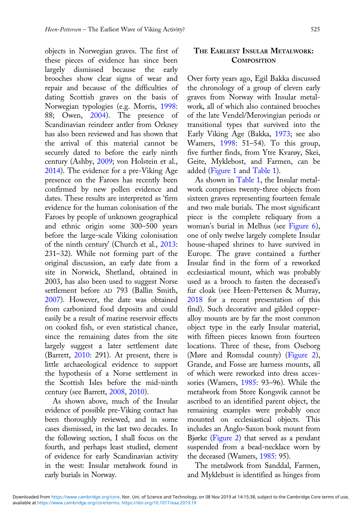objects in Norwegian graves. The first of these pieces of evidence has since been largely dismissed because the early brooches show clear signs of wear and repair and because of the difficulties of dating Scottish graves on the basis of Norwegian typologies (e.g. Morris, [1998:](#page-16-0) 88; Owen, [2004\)](#page-16-0). The presence of Scandinavian reindeer antler from Orkney has also been reviewed and has shown that the arrival of this material cannot be securely dated to before the early ninth century (Ashby, [2009;](#page-14-0) von Holstein et al., [2014\)](#page-17-0). The evidence for a pre-Viking Age presence on the Faroes has recently been confirmed by new pollen evidence and dates. These results are interpreted as 'firm evidence for the human colonisation of the Faroes by people of unknown geographical and ethnic origin some 300–500 years before the large-scale Viking colonisation of the ninth century' (Church et al., [2013:](#page-15-0) 231–32). While not forming part of the original discussion, an early date from a site in Norwick, Shetland, obtained in 2003, has also been used to suggest Norse settlement before AD 793 (Ballin Smith, [2007\)](#page-15-0). However, the date was obtained from carbonized food deposits and could easily be a result of marine reservoir effects on cooked fish, or even statistical chance, since the remaining dates from the site largely suggest a later settlement date (Barrett, [2010:](#page-15-0) 291). At present, there is little archaeological evidence to support the hypothesis of a Norse settlement in the Scottish Isles before the mid-ninth century (see Barrett, [2008,](#page-15-0) [2010](#page-15-0)).

As shown above, much of the Insular evidence of possible pre-Viking contact has been thoroughly reviewed, and in some cases dismissed, in the last two decades. In the following section, I shall focus on the fourth, and perhaps least studied, element of evidence for early Scandinavian activity in the west: Insular metalwork found in early burials in Norway.

# THE EARLIEST INSULAR METALWORK: **COMPOSITION**

Over forty years ago, Egil Bakka discussed the chronology of a group of eleven early graves from Norway with Insular metalwork, all of which also contained brooches of the late Vendel/Merovingian periods or transitional types that survived into the Early Viking Age (Bakka, [1973;](#page-15-0) see also Wamers, [1998:](#page-17-0) 51–54). To this group, five further finds, from Ytre Kvarøy, Skei, Geite, Myklebost, and Farmen, can be added [\(Figure 1](#page-3-0) and [Table 1\)](#page-4-0).

As shown in [Table 1,](#page-4-0) the Insular metalwork comprises twenty-three objects from sixteen graves representing fourteen female and two male burials. The most significant piece is the complete reliquary from a woman's burial in Melhus (see [Figure 6](#page-8-0)), one of only twelve largely complete Insular house-shaped shrines to have survived in Europe. The grave contained a further Insular find in the form of a reworked ecclesiastical mount, which was probably used as a brooch to fasten the deceased's fur cloak (see Heen-Pettersen & Murray, [2018](#page-15-0) for a recent presentation of this find). Such decorative and gilded copperalloy mounts are by far the most common object type in the early Insular material, with fifteen pieces known from fourteen locations. Three of these, from Oseborg (Møre and Romsdal county) [\(Figure 2](#page-4-0)), Grande, and Fosse are harness mounts, all of which were reworked into dress acces-sories (Wamers, [1985](#page-17-0): 93–96). While the metalwork from Store Kongsvik cannot be ascribed to an identified parent object, the remaining examples were probably once mounted on ecclesiastical objects. This includes an Anglo-Saxon book mount from Bjørke ([Figure 2\)](#page-4-0) that served as a pendant suspended from a bead-necklace worn by the deceased (Wamers, [1985](#page-17-0): 95).

The metalwork from Sanddal, Farmen, and Myklebust is identified as hinges from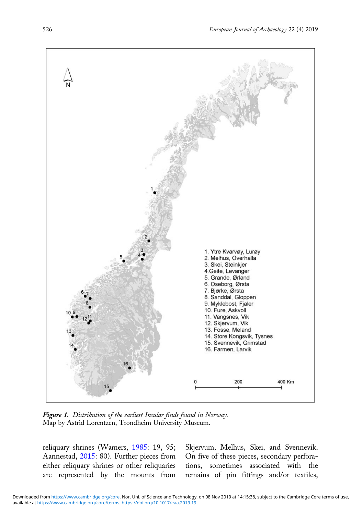<span id="page-3-0"></span>

Figure 1. Distribution of the earliest Insular finds found in Norway. Map by Astrid Lorentzen, Trondheim University Museum.

reliquary shrines (Wamers, [1985](#page-17-0): 19, 95; Aannestad, [2015](#page-14-0): 80). Further pieces from either reliquary shrines or other reliquaries are represented by the mounts from

Skjervum, Melhus, Skei, and Svennevik. On five of these pieces, secondary perforations, sometimes associated with the remains of pin fittings and/or textiles,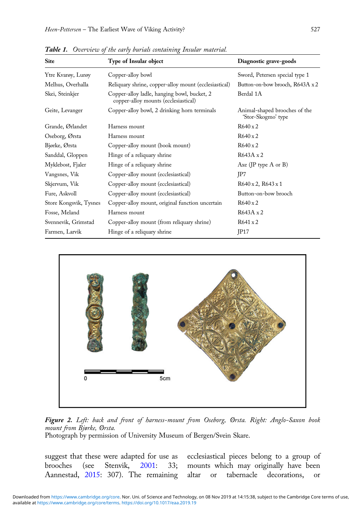| <b>Site</b>            | Type of Insular object                                                              | Diagnostic grave-goods                              |  |  |
|------------------------|-------------------------------------------------------------------------------------|-----------------------------------------------------|--|--|
| Ytre Kvarøy, Lurøy     | Copper-alloy bowl                                                                   | Sword, Petersen special type 1                      |  |  |
| Melhus, Overhalla      | Reliquary shrine, copper-alloy mount (ecclesiastical)                               | Button-on-bow brooch, R643A x 2                     |  |  |
| Skei, Steinkjer        | Copper-alloy ladle, hanging bowl, bucket, 2<br>copper-alloy mounts (ecclesiastical) | Berdal 1A                                           |  |  |
| Geite, Levanger        | Copper-alloy bowl, 2 drinking horn terminals                                        | Animal-shaped brooches of the<br>'Stor-Skogmo' type |  |  |
| Grande, Ørlandet       | Harness mount                                                                       | $R640 \times 2$                                     |  |  |
| Oseborg, Ørsta         | Harness mount                                                                       | $R640 \times 2$                                     |  |  |
| Bjørke, Ørsta          | Copper-alloy mount (book mount)                                                     | $R640 \times 2$                                     |  |  |
| Sanddal, Gloppen       | Hinge of a reliquary shrine                                                         | $R643A \times 2$                                    |  |  |
| Myklebost, Fjaler      | Hinge of a reliquary shrine                                                         | Axe (JP type $A$ or $B$ )                           |  |  |
| Vangsnes, Vik          | Copper-alloy mount (ecclesiastical)                                                 | JP7                                                 |  |  |
| Skjervum, Vik          | Copper-alloy mount (ecclesiastical)                                                 | $R640 \times 2$ , $R643 \times 1$                   |  |  |
| Fure, Askvoll          | Copper-alloy mount (ecclesiastical)                                                 | Button-on-bow brooch                                |  |  |
| Store Kongsvik, Tysnes | Copper-alloy mount, original function uncertain                                     | $R640 \times 2$                                     |  |  |
| Fosse, Meland          | Harness mount                                                                       | $R643A \times 2$                                    |  |  |
| Svennevik, Grimstad    | Copper-alloy mount (from reliquary shrine)                                          | $R641 \times 2$                                     |  |  |
| Farmen, Larvik         | Hinge of a reliquary shrine                                                         | IP17                                                |  |  |

<span id="page-4-0"></span>Table 1. Overview of the early burials containing Insular material.





Photograph by permission of University Museum of Bergen/Svein Skare.

suggest that these were adapted for use as brooches (see Stenvik, [2001](#page-17-0): 33; Aannestad, [2015](#page-14-0): 307). The remaining

ecclesiastical pieces belong to a group of mounts which may originally have been altar or tabernacle decorations, or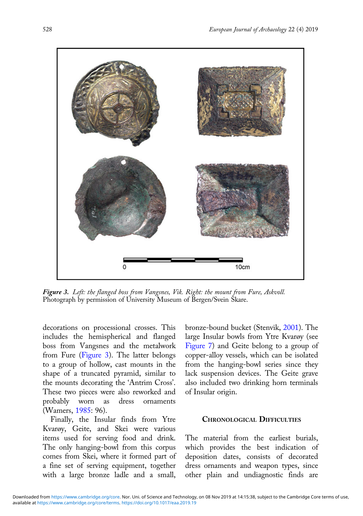

Figure 3. Left: the flanged boss from Vangsnes, Vik. Right: the mount from Fure, Askvoll. Photograph by permission of University Museum of Bergen/Svein Skare.

decorations on processional crosses. This includes the hemispherical and flanged boss from Vangsnes and the metalwork from Fure (Figure 3). The latter belongs to a group of hollow, cast mounts in the shape of a truncated pyramid, similar to the mounts decorating the 'Antrim Cross'. These two pieces were also reworked and probably worn as dress ornaments (Wamers, [1985](#page-17-0): 96).

Finally, the Insular finds from Ytre Kvarøy, Geite, and Skei were various items used for serving food and drink. The only hanging-bowl from this corpus comes from Skei, where it formed part of a fine set of serving equipment, together with a large bronze ladle and a small, bronze-bound bucket (Stenvik, [2001\)](#page-17-0). The large Insular bowls from Ytre Kvarøy (see [Figure 7](#page-8-0)) and Geite belong to a group of copper-alloy vessels, which can be isolated from the hanging-bowl series since they lack suspension devices. The Geite grave also included two drinking horn terminals of Insular origin.

#### CHRONOLOGICAL DIFFICULTIES

The material from the earliest burials, which provides the best indication of deposition dates, consists of decorated dress ornaments and weapon types, since other plain and undiagnostic finds are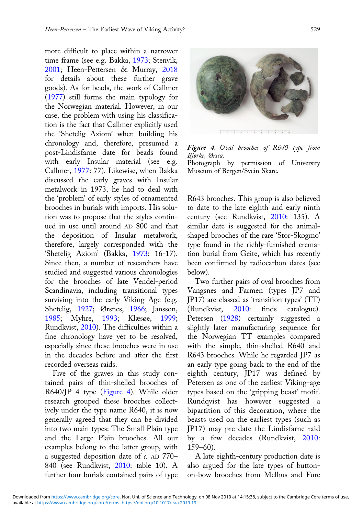more difficult to place within a narrower time frame (see e.g. Bakka, [1973](#page-15-0); Stenvik, [2001;](#page-17-0) Heen-Pettersen & Murray, [2018](#page-15-0) for details about these further grave goods). As for beads, the work of Callmer [\(1977](#page-15-0)) still forms the main typology for the Norwegian material. However, in our case, the problem with using his classification is the fact that Callmer explicitly used the 'Shetelig Axiom' when building his chronology and, therefore, presumed a post-Lindisfarne date for beads found with early Insular material (see e.g. Callmer, [1977](#page-15-0): 77). Likewise, when Bakka discussed the early graves with Insular metalwork in 1973, he had to deal with the 'problem' of early styles of ornamented brooches in burials with imports. His solution was to propose that the styles continued in use until around AD 800 and that the deposition of Insular metalwork, therefore, largely corresponded with the 'Shetelig Axiom' (Bakka, [1973:](#page-15-0) 16-17). Since then, a number of researchers have studied and suggested various chronologies for the brooches of late Vendel-period Scandinavia, including transitional types surviving into the early Viking Age (e.g. Shetelig, [1927;](#page-16-0) Ørsnes, [1966](#page-16-0); Jansson, [1985;](#page-16-0) Myhre, [1993;](#page-16-0) Klæsøe, [1999;](#page-16-0) Rundkvist, [2010\)](#page-16-0). The difficulties within a fine chronology have yet to be resolved, especially since these brooches were in use in the decades before and after the first recorded overseas raids.

Five of the graves in this study contained pairs of thin-shelled brooches of R640/JP 4 type (Figure 4). While older research grouped these brooches collectively under the type name R640, it is now generally agreed that they can be divided into two main types: The Small Plain type and the Large Plain brooches. All our examples belong to the latter group, with a suggested deposition date of c. AD 770– 840 (see Rundkvist, [2010:](#page-16-0) table 10). A further four burials contained pairs of type



Figure 4. Oval brooches of R640 type from Bjørke, Ørsta. Photograph by permission of University Museum of Bergen/Svein Skare.

R643 brooches. This group is also believed to date to the late eighth and early ninth century (see Rundkvist, [2010:](#page-16-0) 135). A similar date is suggested for the animalshaped brooches of the rare 'Stor-Skogmo' type found in the richly-furnished cremation burial from Geite, which has recently been confirmed by radiocarbon dates (see below).

Two further pairs of oval brooches from Vangsnes and Farmen (types JP7 and JP17) are classed as 'transition types' (TT) (Rundkvist, [2010:](#page-16-0) finds catalogue). Petersen ([1928\)](#page-16-0) certainly suggested a slightly later manufacturing sequence for the Norwegian TT examples compared with the simple, thin-shelled R640 and R643 brooches. While he regarded JP7 as an early type going back to the end of the eighth century, JP17 was defined by Petersen as one of the earliest Viking-age types based on the 'gripping beast' motif. Rundqvist has however suggested a bipartition of this decoration, where the beasts used on the earliest types (such as JP17) may pre-date the Lindisfarne raid by a few decades (Rundkvist, [2010:](#page-16-0) 159–60).

A late eighth-century production date is also argued for the late types of buttonon-bow brooches from Melhus and Fure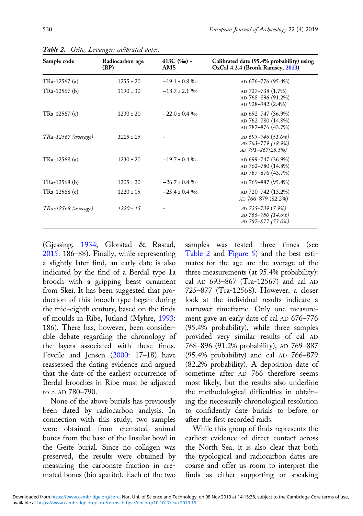| mated bones (bio apatite). Each of the two finds as either supporting or speaking                                                                                                                                                                     |  |  |  |
|-------------------------------------------------------------------------------------------------------------------------------------------------------------------------------------------------------------------------------------------------------|--|--|--|
| Downloaded from https://www.cambridge.org/core. Nor. Uni. of Science and Technology, on 08 Nov 2019 at 14:15:38, subject to the Cambridge Core terms of use<br>available at https://www.cambridge.org/core/terms. https://doi.org/10.1017/eaa.2019.19 |  |  |  |

Table 2. Geite, Levanger: calibrated dates.

| Sample code         | Radiocarbon age<br>(BP) | $\delta$ 13C (‰) -<br>AMS | Calibrated date (95.4% probability) using<br>OxCal 4.2.4 (Bronk Ramsey, 2013) |
|---------------------|-------------------------|---------------------------|-------------------------------------------------------------------------------|
| TRa-12567 (a)       | $1255 \pm 20$           | $-19.1 \pm 0.8$ %         | AD 676-776 (95.4%)                                                            |
| TRa-12567 (b)       | $1190 \pm 30$           | $-18.7 \pm 2.1$ \%        | AD 727-738 (1.7%)<br>AD 768-896 (91.2%)<br>AD 928-942 (2.4%)                  |
| TRa-12567 (c)       | $1230 \pm 20$           | $-22.0 \pm 0.4$ %         | AD 692-747 (36.9%)<br>AD 762-780 (14.8%)<br>AD 787-876 (43.7%)                |
| TRa-12567 (average) | $1225 \pm 25$           |                           | AD 693-746 (51.0%)<br>AD 763-779 (18.9%)<br>AD 791-867(25.5%)                 |
| TRa-12568 (a)       | $1230 \pm 20$           | $-19.7 \pm 0.4$ %         | AD 699-747 (36.9%)<br>AD 762-780 (14.8%)<br>AD 787-876 (43.7%)                |
| TRa-12568 (b)       | $1205 \pm 20$           | $-26.7 \pm 0.4$ %         | AD 769-887 (95.4%)                                                            |
| TRa-12568 (c)       | $1220 \pm 15$           | $-25.4 \pm 0.4$ %         | AD 720-742 (13.2%)<br>AD 766-879 (82.2%)                                      |
| TRa-12568 (average) | $1220 \pm 15$           |                           | AD 725-739 (7.9%)<br>AD 766-780 (14.6%)<br>AD 787-877 (73.0%)                 |

(Gjessing, [1934;](#page-15-0) Glørstad & Røstad, [2015](#page-15-0): 186–88). Finally, while representing a slightly later find, an early date is also indicated by the find of a Berdal type 1a brooch with a gripping beast ornament from Skei. It has been suggested that production of this brooch type began during the mid-eighth century, based on the finds of moulds in Ribe, Jutland (Myhre, [1993](#page-16-0): 186). There has, however, been considerable debate regarding the chronology of the layers associated with these finds. Feveile and Jensen [\(2000](#page-15-0): 17–18) have reassessed the dating evidence and argued that the date of the earliest occurrence of Berdal brooches in Ribe must be adjusted to c. AD 780–790.

None of the above burials has previously been dated by radiocarbon analysis. In connection with this study, two samples were obtained from cremated animal bones from the base of the Insular bowl in the Geite burial. Since no collagen was preserved, the results were obtained by measuring the carbonate fraction in cresamples was tested three times (see Table 2 and [Figure 5](#page-8-0)) and the best estimates for the age are the average of the three measurements (at 95.4% probability): cal AD 693–867 (Tra-12567) and cal AD 725–877 (Tra-12568). However, a closer look at the individual results indicate a narrower timeframe. Only one measurement gave an early date of cal AD 676–776 (95.4% probability), while three samples provided very similar results of cal AD 768–896 (91.2% probability), AD 769–887 (95.4% probability) and cal AD 766–879 (82.2% probability). A deposition date of sometime after AD 766 therefore seems most likely, but the results also underline the methodological difficulties in obtaining the necessarily chronological resolution to confidently date burials to before or after the first recorded raids.

While this group of finds represents the earliest evidence of direct contact across the North Sea, it is also clear that both the typological and radiocarbon dates are coarse and offer us room to interpret the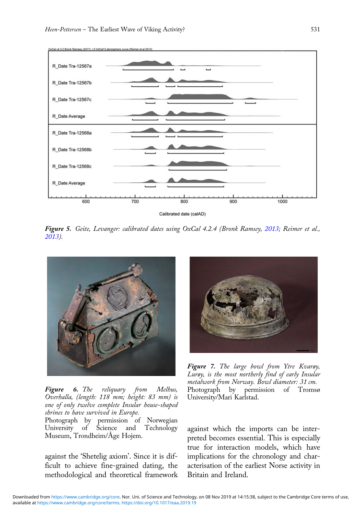<span id="page-8-0"></span>

Figure 5. Geite, Levanger: calibrated dates using OxCal 4.2.4 (Bronk Ramsey, [2013;](#page-15-0) Reimer et al., [2013\)](#page-16-0).



**Figure 6.** The reliquary from Melhus,<br>Overhalla, (length: 118 mm; height: 83 mm) is one of only twelve complete Insular house-shaped shrines to have survived in Europe.

Photograph by permission of Norwegian University of Science and Technology Museum, Trondheim/Åge Hojem.

against the 'Shetelig axiom'. Since it is difficult to achieve fine-grained dating, the methodological and theoretical framework



Figure 7. The large bowl from Ytre Kvarøy, Lurøy, is the most northerly find of early Insular metalwork from Norway. Bowl diameter: 31 cm.<br>Photograph by permission of Tromse by permission of Tromsø University/Mari Karlstad.

against which the imports can be interpreted becomes essential. This is especially true for interaction models, which have implications for the chronology and characterisation of the earliest Norse activity in Britain and Ireland.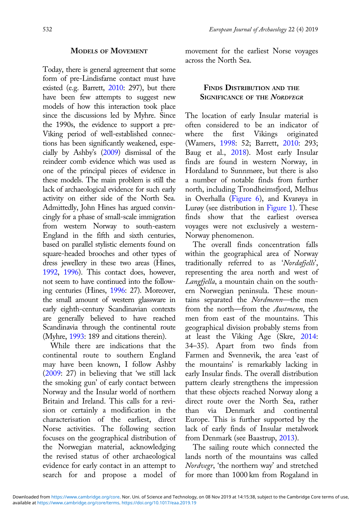## MODELS OF MOVEMENT

Today, there is general agreement that some form of pre-Lindisfarne contact must have existed (e.g. Barrett, [2010](#page-15-0): 297), but there have been few attempts to suggest new models of how this interaction took place since the discussions led by Myhre. Since the 1990s, the evidence to support a pre-Viking period of well-established connections has been significantly weakened, especially by Ashby's [\(2009](#page-14-0)) dismissal of the reindeer comb evidence which was used as one of the principal pieces of evidence in these models. The main problem is still the lack of archaeological evidence for such early activity on either side of the North Sea. Admittedly, John Hines has argued convincingly for a phase of small-scale immigration from western Norway to south-eastern England in the fifth and sixth centuries, based on parallel stylistic elements found on square-headed brooches and other types of dress jewellery in these two areas (Hines, [1992](#page-16-0), [1996\)](#page-16-0). This contact does, however, not seem to have continued into the following centuries (Hines, [1996:](#page-16-0) 27). Moreover, the small amount of western glassware in early eighth-century Scandinavian contexts are generally believed to have reached Scandinavia through the continental route (Myhre, [1993](#page-16-0): 189 and citations therein).

While there are indications that the continental route to southern England may have been known, I follow Ashby ([2009](#page-14-0): 27) in believing that 'we still lack the smoking gun' of early contact between Norway and the Insular world of northern Britain and Ireland. This calls for a revision or certainly a modification in the characterisation of the earliest, direct Norse activities. The following section focuses on the geographical distribution of the Norwegian material, acknowledging the revised status of other archaeological evidence for early contact in an attempt to search for and propose a model of movement for the earliest Norse voyages across the North Sea.

## FINDS DISTRIBUTION AND THE SIGNIFICANCE OF THE NORDVEGR

The location of early Insular material is often considered to be an indicator of where the first Vikings originated (Wamers, [1998:](#page-17-0) 52; Barrett, [2010:](#page-15-0) 293; Baug et al., [2018\)](#page-15-0). Most early Insular finds are found in western Norway, in Hordaland to Sunnmøre, but there is also a number of notable finds from further north, including Trondheimsfjord, Melhus in Overhalla ([Figure 6](#page-8-0)), and Kvarøya in Lurøy (see distribution in [Figure 1\)](#page-3-0). These finds show that the earliest oversea voyages were not exclusively a western-Norway phenomenon.

The overall finds concentration falls within the geographical area of Norway traditionally referred to as 'Nordafjells', representing the area north and west of Langfjella, a mountain chain on the southern Norwegian peninsula. These mountains separated the Nordmenn-the men from the north—from the *Austmenn*, the men from east of the mountains. This geographical division probably stems from at least the Viking Age (Skre, [2014:](#page-17-0) 34–35). Apart from two finds from Farmen and Svennevik, the area 'east of the mountains' is remarkably lacking in early Insular finds. The overall distribution pattern clearly strengthens the impression that these objects reached Norway along a direct route over the North Sea, rather than via Denmark and continental Europe. This is further supported by the lack of early finds of Insular metalwork from Denmark (see Baastrup, [2013](#page-15-0)).

The sailing route which connected the lands north of the mountains was called Nordvegr, 'the northern way' and stretched for more than 1000 km from Rogaland in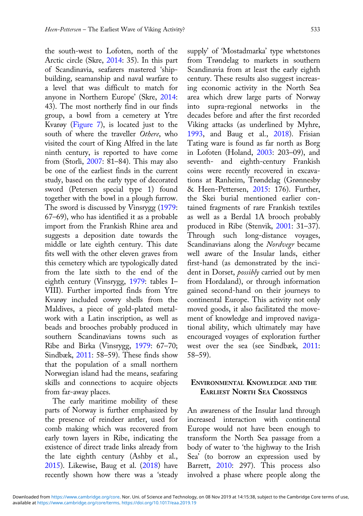the south-west to Lofoten, north of the Arctic circle (Skre, [2014:](#page-17-0) 35). In this part of Scandinavia, seafarers mastered 'shipbuilding, seamanship and naval warfare to a level that was difficult to match for anyone in Northern Europe' (Skre, [2014:](#page-17-0) 43). The most northerly find in our finds group, a bowl from a cemetery at Ytre Kvarøy [\(Figure 7\)](#page-8-0), is located just to the south of where the traveller Othere, who visited the court of King Alfred in the late ninth century, is reported to have come from (Storli, [2007:](#page-17-0) 81–84). This may also be one of the earliest finds in the current study, based on the early type of decorated sword (Petersen special type 1) found together with the bowl in a plough furrow. The sword is discussed by Vinsrygg ([1979:](#page-17-0) 67–69), who has identified it as a probable import from the Frankish Rhine area and suggests a deposition date towards the middle or late eighth century. This date fits well with the other eleven graves from this cemetery which are typologically dated from the late sixth to the end of the eighth century (Vinsrygg, [1979:](#page-17-0) tables I– VIII). Further imported finds from Ytre Kvarøy included cowry shells from the Maldives, a piece of gold-plated metalwork with a Latin inscription, as well as beads and brooches probably produced in southern Scandinavians towns such as Ribe and Birka (Vinsrygg, [1979:](#page-17-0) 67–70; Sindbæk, [2011:](#page-16-0) 58–59). These finds show that the population of a small northern Norwegian island had the means, seafaring skills and connections to acquire objects from far-away places.

The early maritime mobility of these parts of Norway is further emphasized by the presence of reindeer antler, used for comb making which was recovered from early town layers in Ribe, indicating the existence of direct trade links already from the late eighth century (Ashby et al., [2015\)](#page-14-0). Likewise, Baug et al. ([2018\)](#page-15-0) have recently shown how there was a 'steady

supply' of 'Mostadmarka' type whetstones from Trøndelag to markets in southern Scandinavia from at least the early eighth century. These results also suggest increasing economic activity in the North Sea area which drew large parts of Norway into supra-regional networks in the decades before and after the first recorded Viking attacks (as underlined by Myhre, [1993,](#page-16-0) and Baug et al., [2018\)](#page-15-0). Frisian Tating ware is found as far north as Borg in Lofoten (Holand, [2003:](#page-16-0) 203–09), and seventh- and eighth-century Frankish coins were recently recovered in excavations at Ranheim, Trøndelag (Grønnesby & Heen-Pettersen, [2015:](#page-15-0) 176). Further, the Skei burial mentioned earlier contained fragments of rare Frankish textiles as well as a Berdal 1A brooch probably produced in Ribe (Stenvik, [2001](#page-17-0): 31–37). Through such long-distance voyages, Scandinavians along the Nordvegr became well aware of the Insular lands, either first-hand (as demonstrated by the incident in Dorset, *possibly* carried out by men from Hordaland), or through information gained second-hand on their journeys to continental Europe. This activity not only moved goods, it also facilitated the movement of knowledge and improved navigational ability, which ultimately may have encouraged voyages of exploration further west over the sea (see Sindbæk, [2011:](#page-16-0) 58–59).

## ENVIRONMENTAL KNOWLEDGE AND THE EARLIEST NORTH SEA CROSSINGS

An awareness of the Insular land through increased interaction with continental Europe would not have been enough to transform the North Sea passage from a body of water to 'the highway to the Irish Sea' (to borrow an expression used by Barrett, [2010:](#page-15-0) 297). This process also involved a phase where people along the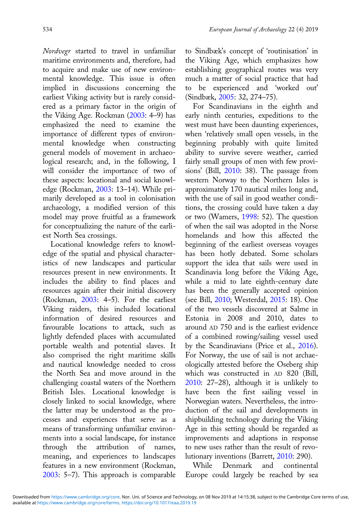Nordvegr started to travel in unfamiliar maritime environments and, therefore, had to acquire and make use of new environmental knowledge. This issue is often implied in discussions concerning the earliest Viking activity but is rarely considered as a primary factor in the origin of the Viking Age. Rockman ([2003:](#page-16-0) 4–9) has emphasized the need to examine the importance of different types of environmental knowledge when constructing general models of movement in archaeological research; and, in the following, I will consider the importance of two of these aspects: locational and social knowledge (Rockman, [2003](#page-16-0): 13–14). While primarily developed as a tool in colonisation archaeology, a modified version of this model may prove fruitful as a framework for conceptualizing the nature of the earliest North Sea crossings.

Locational knowledge refers to knowledge of the spatial and physical characteristics of new landscapes and particular resources present in new environments. It includes the ability to find places and resources again after their initial discovery (Rockman, [2003:](#page-16-0) 4–5). For the earliest Viking raiders, this included locational information of desired resources and favourable locations to attack, such as lightly defended places with accumulated portable wealth and potential slaves. It also comprised the right maritime skills and nautical knowledge needed to cross the North Sea and move around in the challenging coastal waters of the Northern British Isles. Locational knowledge is closely linked to social knowledge, where the latter may be understood as the processes and experiences that serve as a means of transforming unfamiliar environments into a social landscape, for instance through the attribution of names, meaning, and experiences to landscapes features in a new environment (Rockman, [2003](#page-16-0): 5–7). This approach is comparable to Sindbæk's concept of 'routinisation' in the Viking Age, which emphasizes how establishing geographical routes was very much a matter of social practice that had to be experienced and 'worked out' (Sindbæk, [2005](#page-16-0): 32, 274–75).

For Scandinavians in the eighth and early ninth centuries, expeditions to the west must have been daunting experiences, when 'relatively small open vessels, in the beginning probably with quite limited ability to survive severe weather, carried fairly small groups of men with few provisions' (Bill, [2010:](#page-15-0) 38). The passage from western Norway to the Northern Isles is approximately 170 nautical miles long and, with the use of sail in good weather conditions, the crossing could have taken a day or two (Wamers, [1998](#page-17-0): 52). The question of when the sail was adopted in the Norse homelands and how this affected the beginning of the earliest overseas voyages has been hotly debated. Some scholars support the idea that sails were used in Scandinavia long before the Viking Age, while a mid to late eighth-century date has been the generally accepted opinion (see Bill, [2010;](#page-15-0) Westerdal, [2015](#page-17-0): 18). One of the two vessels discovered at Salme in Estonia in 2008 and 2010, dates to around AD 750 and is the earliest evidence of a combined rowing/sailing vessel used by the Scandinavians (Price et al., [2016](#page-16-0)). For Norway, the use of sail is not archaeologically attested before the Oseberg ship which was constructed in AD 820 (Bill, [2010:](#page-15-0) 27–28), although it is unlikely to have been the first sailing vessel in Norwegian waters. Nevertheless, the introduction of the sail and developments in shipbuilding technology during the Viking Age in this setting should be regarded as improvements and adaptions in response to new uses rather than the result of revolutionary inventions (Barrett, [2010](#page-15-0): 290).

While Denmark and continental Europe could largely be reached by sea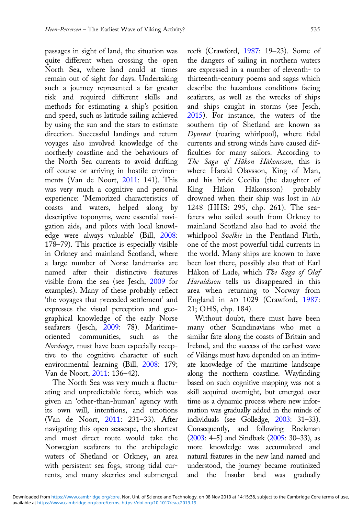passages in sight of land, the situation was quite different when crossing the open North Sea, where land could at times remain out of sight for days. Undertaking such a journey represented a far greater risk and required different skills and methods for estimating a ship's position and speed, such as latitude sailing achieved by using the sun and the stars to estimate direction. Successful landings and return voyages also involved knowledge of the northerly coastline and the behaviours of the North Sea currents to avoid drifting off course or arriving in hostile environments (Van de Noort, [2011](#page-17-0): 141). This was very much a cognitive and personal experience: 'Memorized characteristics of coasts and waters, helped along by descriptive toponyms, were essential navigation aids, and pilots with local knowledge were always valuable' (Bill, [2008:](#page-15-0) 178–79). This practice is especially visible in Orkney and mainland Scotland, where a large number of Norse landmarks are named after their distinctive features visible from the sea (see Jesch, [2009](#page-16-0) for examples). Many of these probably reflect 'the voyages that preceded settlement' and expresses the visual perception and geographical knowledge of the early Norse seafarers (Jesch, [2009](#page-16-0): 78). Maritimeoriented communities, such as the Nordvegr, must have been especially receptive to the cognitive character of such environmental learning (Bill, [2008:](#page-15-0) 179; Van de Noort, [2011](#page-17-0): 136–42).

The North Sea was very much a fluctuating and unpredictable force, which was given an 'other-than-human' agency with its own will, intentions, and emotions (Van de Noort, [2011:](#page-17-0) 231–33). After navigating this open seascape, the shortest and most direct route would take the Norwegian seafarers to the archipelagic waters of Shetland or Orkney, an area with persistent sea fogs, strong tidal currents, and many skerries and submerged reefs (Crawford, [1987:](#page-15-0) 19–23). Some of the dangers of sailing in northern waters are expressed in a number of eleventh- to thirteenth-century poems and sagas which describe the hazardous conditions facing seafarers, as well as the wrecks of ships and ships caught in storms (see Jesch, [2015\)](#page-16-0). For instance, the waters of the southern tip of Shetland are known as Dynrøst (roaring whirlpool), where tidal currents and strong winds have caused difficulties for many sailors. According to The Saga of Håkon Håkonsson, this is where Harald Olavsson, King of Man, and his bride Cecilia (the daughter of King Håkon Håkonsson) probably drowned when their ship was lost in AD 1248 (HHS: 295, chp. 261). The seafarers who sailed south from Orkney to mainland Scotland also had to avoid the whirlpool Svelkie in the Pentland Firth, one of the most powerful tidal currents in the world. Many ships are known to have been lost there, possibly also that of Earl Håkon of Lade, which The Saga of Olaf Haraldsson tells us disappeared in this area when returning to Norway from England in AD 1029 (Crawford, [1987:](#page-15-0) 21; OHS, chp. 184).

Without doubt, there must have been many other Scandinavians who met a similar fate along the coasts of Britain and Ireland, and the success of the earliest wave of Vikings must have depended on an intimate knowledge of the maritime landscape along the northern coastline. Wayfinding based on such cognitive mapping was not a skill acquired overnight, but emerged over time as a dynamic process where new information was gradually added in the minds of individuals (see Golledge, [2003](#page-15-0): 31–33). Consequently, and following Rockman ([2003:](#page-16-0) 4–5) and Sindbæk [\(2005:](#page-16-0) 30–33), as more knowledge was accumulated and natural features in the new land named and understood, the journey became routinized and the Insular land was gradually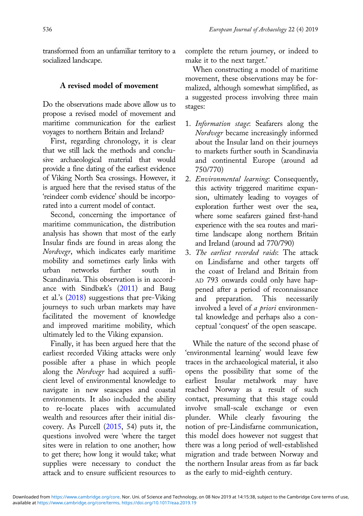transformed from an unfamiliar territory to a socialized landscape.

# A revised model of movement

Do the observations made above allow us to propose a revised model of movement and maritime communication for the earliest voyages to northern Britain and Ireland?

First, regarding chronology, it is clear that we still lack the methods and conclusive archaeological material that would provide a fine dating of the earliest evidence of Viking North Sea crossings. However, it is argued here that the revised status of the 'reindeer comb evidence' should be incorporated into a current model of contact.

Second, concerning the importance of maritime communication, the distribution analysis has shown that most of the early Insular finds are found in areas along the Nordvegr, which indicates early maritime mobility and sometimes early links with urban networks further south Scandinavia. This observation is in accordance with Sindbæk's ([2011\)](#page-16-0) and Baug et al.'s [\(2018](#page-15-0)) suggestions that pre-Viking journeys to such urban markets may have facilitated the movement of knowledge and improved maritime mobility, which ultimately led to the Viking expansion.

Finally, it has been argued here that the earliest recorded Viking attacks were only possible after a phase in which people along the Nordvegr had acquired a sufficient level of environmental knowledge to navigate in new seascapes and coastal environments. It also included the ability to re-locate places with accumulated wealth and resources after their initial discovery. As Purcell [\(2015,](#page-16-0) 54) puts it, the questions involved were 'where the target sites were in relation to one another; how to get there; how long it would take; what supplies were necessary to conduct the attack and to ensure sufficient resources to

complete the return journey, or indeed to make it to the next target.'

When constructing a model of maritime movement, these observations may be formalized, although somewhat simplified, as a suggested process involving three main stages:

- 1. Information stage: Seafarers along the Nordvegr became increasingly informed about the Insular land on their journeys to markets further south in Scandinavia and continental Europe (around ad 750/770)
- 2. Environmental learning: Consequently, this activity triggered maritime expansion, ultimately leading to voyages of exploration further west over the sea, where some seafarers gained first-hand experience with the sea routes and maritime landscape along northern Britain and Ireland (around ad 770/790)
- 3. The earliest recorded raids: The attack on Lindisfarne and other targets off the coast of Ireland and Britain from AD 793 onwards could only have happened after a period of reconnaissance and preparation. This necessarily involved a level of a priori environmental knowledge and perhaps also a conceptual 'conquest' of the open seascape.

While the nature of the second phase of 'environmental learning' would leave few traces in the archaeological material, it also opens the possibility that some of the earliest Insular metalwork may have reached Norway as a result of such contact, presuming that this stage could involve small-scale exchange or even plunder. While clearly favouring the notion of pre-Lindisfarne communication, this model does however not suggest that there was a long period of well-established migration and trade between Norway and the northern Insular areas from as far back as the early to mid-eighth century.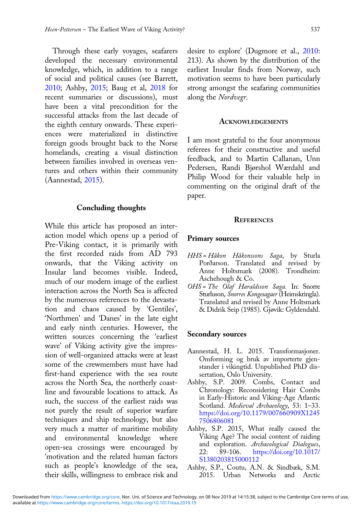<span id="page-14-0"></span>Through these early voyages, seafarers developed the necessary environmental knowledge, which, in addition to a range of social and political causes (see Barrett, [2010;](#page-15-0) Ashby, 2015; Baug et al, [2018](#page-15-0) for recent summaries or discussions), must have been a vital precondition for the successful attacks from the last decade of the eighth century onwards. These experiences were materialized in distinctive foreign goods brought back to the Norse homelands, creating a visual distinction between families involved in overseas ventures and others within their community (Aannestad, 2015).

#### Concluding thoughts

While this article has proposed an interaction model which opens up a period of Pre-Viking contact, it is primarily with the first recorded raids from AD 793 onwards, that the Viking activity on Insular land becomes visible. Indeed, much of our modern image of the earliest interaction across the North Sea is affected by the numerous references to the devastation and chaos caused by 'Gentiles', 'Northmen' and 'Danes' in the late eight and early ninth centuries. However, the written sources concerning the 'earliest wave' of Viking activity give the impression of well-organized attacks were at least some of the crewmembers must have had first-hand experience with the sea route across the North Sea, the northerly coastline and favourable locations to attack. As such, the success of the earliest raids was not purely the result of superior warfare techniques and ship technology, but also very much a matter of maritime mobility and environmental knowledge where open-sea crossings were encouraged by 'motivation and the related human factors such as people's knowledge of the sea, their skills, willingness to embrace risk and

desire to explore' (Dugmore et al., [2010:](#page-15-0) 213). As shown by the distribution of the earliest Insular finds from Norway, such motivation seems to have been particularly strong amongst the seafaring communities along the Nordvegr.

#### ACKNOWLEDGEMENTS

I am most grateful to the four anonymous referees for their constructive and useful feedback, and to Martin Callanan, Unn Pedersen, Randi Bjørshol Wærdahl and Philip Wood for their valuable help in commenting on the original draft of the paper.

#### **REFERENCES**

#### Primary sources

- HHS = Håkon Håkonssons Saga, by Sturla Porðarson. Translated and revised by Anne Holtsmark (2008). Trondheim: Aschehough & Co.
- OHS = The Olaf Haraldsson Saga. In: Snorre Sturluson, Snorres Kongesagaer (Heimskringla). Translated and revised by Anne Holtsmark & Didrik Seip (1985). Gjøvik: Gyldendahl.

#### Secondary sources

- Aannestad, H. L. 2015. Transformasjoner. Omforming og bruk av importerte gjenstander i vikingtid. Unpublished PhD dissertation, Oslo University.
- Ashby, S.P. 2009. Combs, Contact and Chronology: Reconsidering Hair Combs in Early-Historic and Viking-Age Atlantic Scotland. Medieval Archaeology, 53: 1-33. [https://doi.org/10.1179/007660909X1245](https://doi.org/10.1179/007660909X12457506806081) [7506806081](https://doi.org/10.1179/007660909X12457506806081)
- Ashby, S.P. 2015, What really caused the Viking Age? The social content of raiding and exploration. Archaeological Dialogues,<br>22: 89-106. https://doi.org/10.1017/ 22: 89-106. [https://doi.org/10.1017/](https://doi.org/10.1017/S1380203815000112) [S1380203815000112](https://doi.org/10.1017/S1380203815000112)
- Ashby, S.P., Coutu, A.N. & Sindbæk, S.M. 2015. Urban Networks and Arctic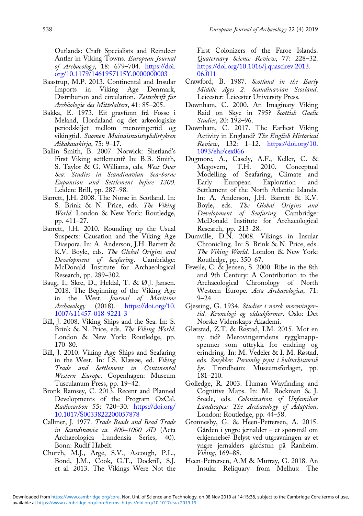<span id="page-15-0"></span>Outlands: Craft Specialists and Reindeer Antler in Viking Towns. European Journal of Archaeology, 18: 679–704. [https://doi.](https://doi.org/10.1179/1461957115Y.0000000003) [org/10.1179/1461957115Y.0000000003](https://doi.org/10.1179/1461957115Y.0000000003)

- Baastrup, M.P. 2013. Continental and Insular Imports in Viking Age Denmark, Distribution and circulation. Zeitschrift für Archäologie des Mittelalters, 41: 85–205.
- Bakka, E. 1973. Eit gravfunn frå Fosse i Meland, Hordaland og det arkeologiske periodskiljet mellom merovingertid og vikingtid. Suomen Muinaisnuistoyhdistyksen Aikakauskirja, 75: 9–17.
- Ballin Smith, B. 2007. Norwick: Shetland's First Viking settlement? In: B.B. Smith, S. Taylor & G. Williams, eds. West Over Sea: Studies in Scandinavian Sea-borne Expansion and Settlement before 1300. Leiden: Brill, pp. 287–98.
- Barrett, J.H. 2008. The Norse in Scotland. In: S. Brink & N. Price, eds. The Viking World. London & New York: Routledge, pp. 411–27.
- Barrett, J.H. 2010. Rounding up the Usual Suspects: Causation and the Viking Age Diaspora. In: A. Anderson, J.H. Barrett & K.V. Boyle, eds. The Global Origins and Development of Seafaring. Cambridge: McDonald Institute for Archaeological Research, pp. 289–302.
- Baug, I., Skre, D., Heldal, T. & Ø.J. Jansen. 2018. The Beginning of the Viking Age in the West. Journal of Maritime Archaeology (2018). [https://doi.org/10.](https://doi.org/10.1007/s11457-018-9221-3) [1007/s11457-018-9221-3](https://doi.org/10.1007/s11457-018-9221-3)
- Bill, J. 2008. Viking Ships and the Sea. In: S. Brink & N. Price, eds. The Viking World. London & New York: Routledge, pp. 170–80.
- Bill, J. 2010. Viking Age Ships and Seafaring in the West. In: I.S. Klæsøe, ed. Viking Trade and Settlement in Continental Western Europe. Copenhagen: Museum Tusculanum Press, pp. 19–42.
- Bronk Ramsey, C. 2013. Recent and Planned Developments of the Program OxCal. Radiocarbon 55: 720–30. [https://doi.org/](https://doi.org/10.1017/S0033822200057878) [10.1017/S0033822200057878](https://doi.org/10.1017/S0033822200057878)
- Callmer, J. 1977. Trade Beads and Bead Trade in Scandinavia ca. 800–1000 AD (Acta Archaeologica Lundensia Series, 40). Bonn: Rudlf Habelt.
- Church, M.J., Arge, S.V., Ascough, P.L., Bond, J.M., Cook, G.T., Dockrill, S.J. et al. 2013. The Vikings Were Not the

First Colonizers of the Faroe Islands. Quaternary Science Review, 77: 228–32. [https://doi.org/10.1016/j.quascirev.2013.](https://doi.org/10.1016/j.quascirev.2013.06.011) [06.011](https://doi.org/10.1016/j.quascirev.2013.06.011)

- Crawford, B. 1987. Scotland in the Early Middle Ages 2: Scandinavian Scotland. Leicester: Leicester University Press.
- Downham, C. 2000. An Imaginary Viking Raid on Skye in 795? Scottish Gaelic Studies, 20: 192–96.
- Downham, C. 2017. The Earliest Viking Activity in England? The English Historical Review, 132: 1–12. [https://doi.org/10.](https://doi.org/10.1093/ehr/cex066) [1093/ehr/cex066](https://doi.org/10.1093/ehr/cex066)
- Dugmore, A., Casely, A.F., Keller, C. & Mcgovern, T.H. 2010. Conceptual Modelling of Seafaring, Climate and Early European Exploration and Settlement of the North Atlantic Islands. In: A. Anderson, J.H. Barrett & K.V. Boyle, eds. The Global Origins and Development of Seafaring. Cambridge: McDonald Institute for Archaeological Research, pp. 213–28.
- Dumville, D.N. 2008. Vikings in Insular Chronicling. In: S. Brink & N. Price, eds. The Viking World. London & New York: Routledge, pp. 350–67.
- Feveile, C. & Jensen, S. 2000. Ribe in the 8th and 9th Century: A Contribution to the Archaeological Chronology of North Western Europe. Acta Archaeologica, 71: 9–24.
- Gjessing, G. 1934. Studier i norsk merovingertid. Kronologi og oldsakformer. Oslo: Det Norske Videnskaps-Akademi.
- Glørstad, Z.T. & Røstad, I.M. 2015. Mot en ny tid? Merovingertidens ryggknappspenner som uttrykk for endring og erindring. In: M. Vedeler & I. M. Røstad, eds. Smykker. Personlig pynt i kulturhistorisk lys. Trondheim: Museumsforlaget, pp. 181–210.
- Golledge, R. 2003. Human Wayfinding and Cognitive Maps. In: M. Rockman & J. Steele, eds. Colonization of Unfamiliar Landscapes: The Archaeology of Adaption. London: Routledge, pp. 44–58.
- Grønnesby, G. & Heen-Pettersen, A. 2015. Gården i yngre jernalder – et spørsmål om erkjennelse? Belyst ved utgravningen av et yngre jernalders gårdstun på Ranheim. Viking, 169–88.
- Heen-Pettersen, A.M & Murray, G. 2018. An Insular Reliquary from Melhus: The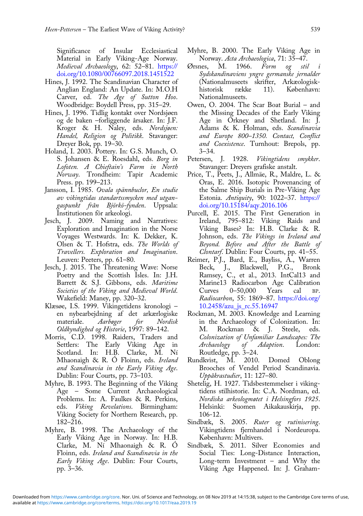<span id="page-16-0"></span>Significance of Insular Ecclesiastical Material in Early Viking-Age Norway. Medieval Archaeology, 62: 52–81. [https://](https://doi.org/10.1080/00766097.2018.1451522) [doi.org/10.1080/00766097.2018.1451522](https://doi.org/10.1080/00766097.2018.1451522)

- Hines, J. 1992. The Scandinavian Character of Anglian England: An Update. In: M.O.H Carver, ed. The Age of Sutton Hoo. Woodbridge: Boydell Press, pp. 315–29.
- Hines, J. 1996. Tidlig kontakt over Nordsjøen og de baken –forliggende årsaker. In: J.F. Kroger & H. Naley, eds. Nordsjøen: Handel, Religion og Politikk. Stavanger: Dreyer Bok, pp. 19–30.
- Holand, I. 2003. Pottery. In: G.S. Munch, O. S. Johansen & E. Roesdahl, eds. Borg in Lofoten. A Chieftain's Farm in North Norway. Trondheim: Tapir Academic Press. pp. 199–213.
- Jansson, I. 1985. Ovala spännbuclor, En studie av vikingtidas standartssmycken med utgangaspunkt från Björkö-fynden. Uppsala: Institutionen för arkeologi.
- Jesch, J. 2009. Naming and Narratives: Exploration and Imagination in the Norse Voyages Westwards. In: K. Dekker, K. Olsen & T. Hofstra, eds. The Worlds of Travellers. Exploration and Imagination. Leuven: Peeters, pp. 61–80.
- Jesch, J. 2015. The Threatening Wave: Norse Poetry and the Scottish Isles. In: J.H. Barrett & S.J. Gibbons, eds. Maritime Societies of the Viking and Medieval World. Wakefield: Maney, pp. 320–32.
- Klæsøe, I.S. 1999. Vikingetidens kronologi en nybearbejdning af det arkærlogiske materiale. Aarbøger for Nordisk Oldkyndighed og Historie, 1997: 89–142.
- Morris, C.D. 1998. Raiders, Traders and Settlers: The Early Viking Age in Scotland. In: H.B. Clarke, M. Ní Mhaonaigh & R. O Floinn, eds. Ireland and Scandinavia in the Early Viking Age. Dublin: Four Courts, pp. 73–103.
- Myhre, B. 1993. The Beginning of the Viking Age – Some Current Archaeological Problems. In: A. Faulkes & R. Perkins, eds. Viking Revelations. Birmingham: Viking Society for Northern Research, pp. 182–216.
- Myhre, B. 1998. The Archaeology of the Early Viking Age in Norway. In: H.B. Clarke, M. Ní Mhaonaigh & R. Ó Floinn, eds. Ireland and Scandinavia in the Early Viking Age. Dublin: Four Courts, pp. 3–36.
- Myhre, B. 2000. The Early Viking Age in
- Norway. Acta Archaeologica, 71: 35–47.<br>nes, M. 1966. Form og stil Ørsnes, M. 1966. Form og stil Sydskandinaviens yngre germanske jernalder (Nationalmuseets skrifter, Arkæologiskhistorisk række 11). København: Nationalmuseets.
- Owen, O. 2004. The Scar Boat Burial and the Missing Decades of the Early Viking Age in Orkney and Shetland. In: J. Adams & K. Holman, eds. Scandinavia and Europe 800–1350. Contact, Conflict and Coexistence. Turnhout: Brepols, pp.  $3 - 34.$
- Petersen, J. 1928. Vikingtidens smykker. Stavanger: Dreyers grafiske anstalt.
- Price, T., Peets, J., Allmäe, R., Maldre, L. & Oras, E. 2016. Isotopic Provenancing of the Salme Ship Burials in Pre-Viking Age Estonia. Antiquity, 90: 1022–37. [https://](https://doi.org/10.15184/aqy.2016.106) [doi.org/10.15184/aqy.2016.106](https://doi.org/10.15184/aqy.2016.106)
- Purcell, E. 2015. The First Generation in Ireland, 795–812: Viking Raids and Viking Bases? In: H.B. Clarke & R. Johnson, eds. The Vikings in Ireland and Beyond. Before and After the Battle of Clontarf. Dublin: Four Courts, pp. 41-55.
- Reimer, P.J., Bard, E., Bayliss, A., Warren Beck, J., Blackwell, P.G., Bronk Ramsey, C., et al., 2013. IntCal13 and Marine13 Radiocarbon Age Calibration Curves 0–50,000 Years cal BP. Radiocarbon, 55: 1869–87. [https://doi.org/](https://doi.org/10.2458/azu_js_rc.55.16947) [10.2458/azu\\_js\\_rc.55.16947](https://doi.org/10.2458/azu_js_rc.55.16947)
- Rockman, M. 2003. Knowledge and Learning in the Archaeology of Colonization. In: M. Rockman & J. Steele, eds. Colonization of Unfamiliar Landscapes: The Archaeology of Adaption. London: Routledge, pp. 3–24.
- Rundkvist, M. 2010. Domed Oblong Brooches of Vendel Period Scandinavia. Uppåkrastudier, 11: 127–80.
- Shetelig, H. 1927. Tidsbestemmelser i vikingtidens stilhistorie. In: C.A. Nordman, ed. Nordiska arkeologmøtet i Helsingfors 1925. Helsinki: Suomen Aikakauskirja, pp. 106-12.
- Sindbæk, S. 2005. Ruter og rutinisering. Vikingtidens fjernhandel i Nordeuropa. København: Multivers.
- Sindbæk, S. 2011. Silver Economies and Social Ties: Long-Distance Interaction, Long-term Investment – and Why the Viking Age Happened. In: J. Graham-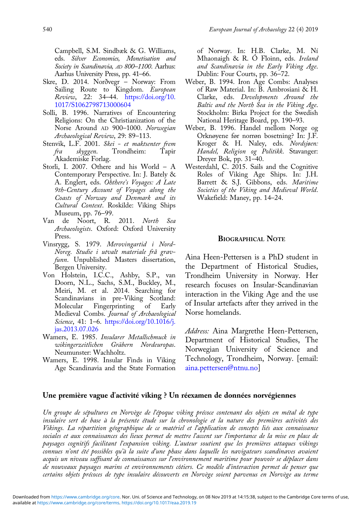<span id="page-17-0"></span>Campbell, S.M. Sindbæk & G. Williams, eds. Silver Economies, Monetisation and Society in Scandinavia, AD 800–1100. Aarhus: Aarhus University Press, pp. 41–66.

- Skre, D. 2014. Norðvegr Norway: From Sailing Route to Kingdom. European Review, 22: 34–44. [https://doi.org/10.](https://doi.org/10.1017/S1062798713000604) [1017/S1062798713000604](https://doi.org/10.1017/S1062798713000604)
- Solli, B. 1996. Narratives of Encountering Religions: On the Christianization of the Norse Around AD 900–1000. Norwegian Archaeological Review, 29: 89–113.
- Stenvik, L.F. 2001. Skei et maktsenter frem fra skyggen. Trondheim: Tapir Akademiske Forlag.
- Storli, I. 2007. Othere and his World A Contemporary Perspective. In: J. Bately & A. Englert, eds. Ohthere's Voyages: A Late 9th-Century Account of Voyages along the Coasts of Norway and Denmark and its Cultural Context. Roskilde: Viking Ships Museum, pp. 76–99.
- Van de Noort, R. 2011. North Sea Archaeologists. Oxford: Oxford University Press.
- Vinsrygg, S. 1979. Merovingartid i Nord-Noreg. Studie i utvalt materiale frå gravfunn. Unpublished Masters dissertation, Bergen University.
- Von Holstein, I.C.C., Ashby, S.P., van Doorn, N.L., Sachs, S.M., Buckley, M., Meiri, M. et al. 2014. Searching for Scandinavians in pre-Viking Scotland: Molecular Fingerprinting of Early Medieval Combs. Journal of Archaeological Science, 41: 1–6. [https://doi.org/10.1016/j.](https://doi.org/10.1016/j.jas.2013.07.026) [jas.2013.07.026](https://doi.org/10.1016/j.jas.2013.07.026)
- Wamers, E. 1985. Insularer Metallschmuck in wikingerzeitlichen Gräbern Nordeuropas. Neumunster: Wachholtz.
- Wamers, E. 1998. Insular Finds in Viking Age Scandinavia and the State Formation

of Norway. In: H.B. Clarke, M. Ní Mhaonaigh & R. O Floinn, eds. Ireland and Scandinavia in the Early Viking Age. Dublin: Four Courts, pp. 36–72.

- Weber, B. 1994. Iron Age Combs: Analyses of Raw Material. In: B. Ambrosiani & H. Clarke, eds. Developments Around the Baltic and the North Sea in the Viking Age. Stockholm: Birka Project for the Swedish National Heritage Board, pp. 190–93.
- Weber, B. 1996. Handel mellom Norge og Orknøyene før norrøn bosetning? In: J.F. Kroger & H. Naley, eds. Nordsjøen: Handel, Religion og Politikk. Stavanger: Dreyer Bok, pp. 31–40.
- Westerdahl, C. 2015. Sails and the Cognitive Roles of Viking Age Ships. In: J.H. Barrett & S.J. Gibbons, eds. Maritime Societies of the Viking and Medieval World. Wakefield: Maney, pp. 14–24.

#### BIOGRAPHICAL NOTE

Aina Heen-Pettersen is a PhD student in the Department of Historical Studies, Trondheim University in Norway. Her research focuses on Insular-Scandinavian interaction in the Viking Age and the use of Insular artefacts after they arrived in the Norse homelands.

Address: Aina Margrethe Heen-Pettersen, Department of Historical Studies, The Norwegian University of Science and Technology, Trondheim, Norway. [email: [aina.pettersen@ntnu.no](mailto:aina.pettersen@ntnu.no)]

#### Une première vague d'activité viking ? Un réexamen de données norvégiennes

Un groupe de sépultures en Norvège de l'époque viking précoce contenant des objets en métal de type insulaire sert de base à la présente étude sur la chronologie et la nature des premières activités des Vikings. La répartition géographique de ce matériel et l'application de concepts liés aux connaissance sociales et aux connaissances des lieux permet de mettre l'accent sur l'importance de la mise en place de paysages cognitifs facilitant l'expansion viking. L'auteur soutient que les premières attaques vikings connues n'ont été possibles qu'à la suite d'une phase dans laquelle les navigateurs scandinaves avaient acquis un niveau suffisant de connaissances sur l'environnement maritime pour pouvoir se déplacer dans de nouveaux paysages marins et environnements côtiers. Ce modèle d'interaction permet de penser que certains objets précoces de type insulaire découverts en Norvège soient parvenus en Norvège au terme